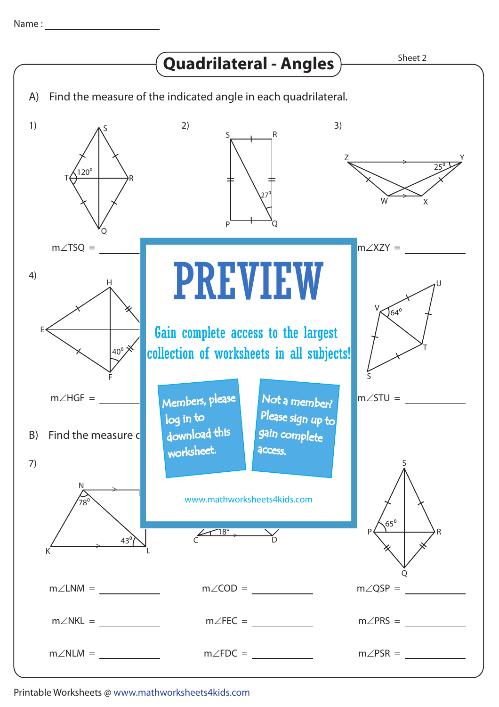